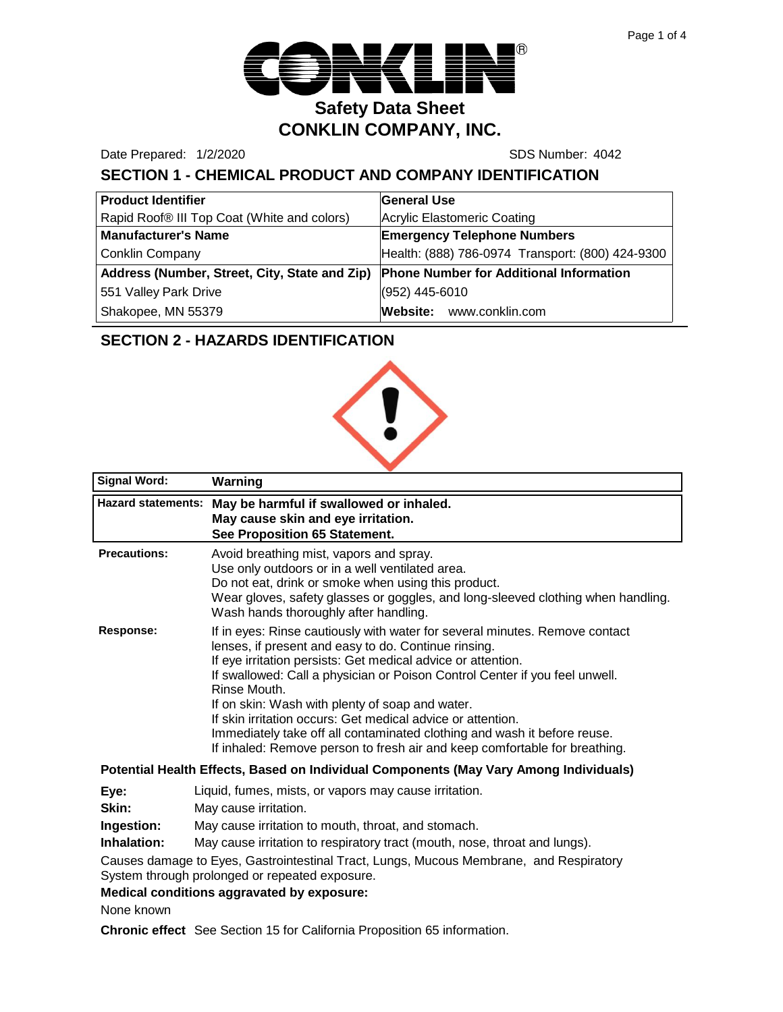

Date Prepared: 1/2/2020 SDS Number: 4042

# **SECTION 1 - CHEMICAL PRODUCT AND COMPANY IDENTIFICATION**

| <b>Product Identifier</b>                     | General Use                                      |
|-----------------------------------------------|--------------------------------------------------|
| Rapid Roof® III Top Coat (White and colors)   | Acrylic Elastomeric Coating                      |
| <b>Manufacturer's Name</b>                    | <b>Emergency Telephone Numbers</b>               |
| <b>Conklin Company</b>                        | Health: (888) 786-0974 Transport: (800) 424-9300 |
| Address (Number, Street, City, State and Zip) | <b>Phone Number for Additional Information</b>   |
| 551 Valley Park Drive                         | (952) 445-6010                                   |
| Shakopee, MN 55379                            | Website: www.conklin.com                         |

## **SECTION 2 - HAZARDS IDENTIFICATION**



| <b>Signal Word:</b> | Warning                                                                                                                                                                                                                                                                                                                                                                                                                                                                                                                                                                        |
|---------------------|--------------------------------------------------------------------------------------------------------------------------------------------------------------------------------------------------------------------------------------------------------------------------------------------------------------------------------------------------------------------------------------------------------------------------------------------------------------------------------------------------------------------------------------------------------------------------------|
|                     | Hazard statements: May be harmful if swallowed or inhaled.<br>May cause skin and eye irritation.<br>See Proposition 65 Statement.                                                                                                                                                                                                                                                                                                                                                                                                                                              |
| <b>Precautions:</b> | Avoid breathing mist, vapors and spray.<br>Use only outdoors or in a well ventilated area.<br>Do not eat, drink or smoke when using this product.<br>Wear gloves, safety glasses or goggles, and long-sleeved clothing when handling.<br>Wash hands thoroughly after handling.                                                                                                                                                                                                                                                                                                 |
| Response:           | If in eyes: Rinse cautiously with water for several minutes. Remove contact<br>lenses, if present and easy to do. Continue rinsing.<br>If eye irritation persists: Get medical advice or attention.<br>If swallowed: Call a physician or Poison Control Center if you feel unwell.<br>Rinse Mouth.<br>If on skin: Wash with plenty of soap and water.<br>If skin irritation occurs: Get medical advice or attention.<br>Immediately take off all contaminated clothing and wash it before reuse.<br>If inhaled: Remove person to fresh air and keep comfortable for breathing. |
|                     | Potential Health Effects, Based on Individual Components (May Vary Among Individuals)                                                                                                                                                                                                                                                                                                                                                                                                                                                                                          |

#### **Individual Components (May Vary Among Individuals)**

- **Eye:** Liquid, fumes, mists, or vapors may cause irritation.
- **Skin:** May cause irritation.

**Ingestion:** May cause irritation to mouth, throat, and stomach.

**Inhalation:** May cause irritation to respiratory tract (mouth, nose, throat and lungs).

Causes damage to Eyes, Gastrointestinal Tract, Lungs, Mucous Membrane, and Respiratory System through prolonged or repeated exposure.

**Medical conditions aggravated by exposure:**

None known

**Chronic effect** See Section 15 for California Proposition 65 information.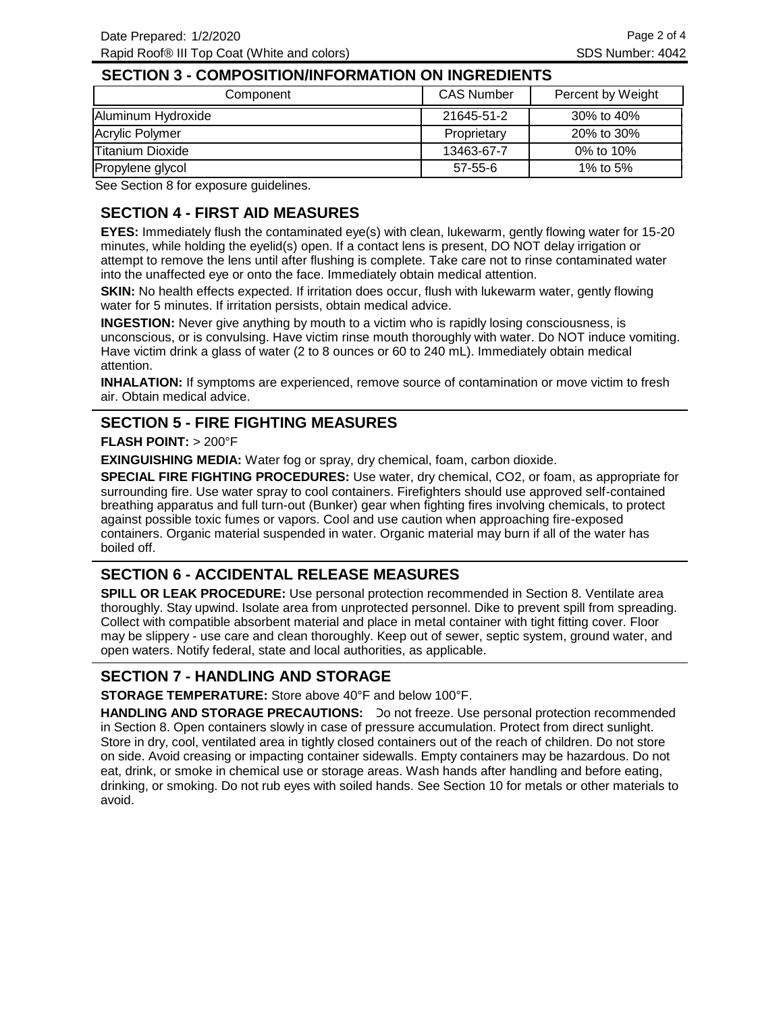#### **SECTION 3 - COMPOSITION/INFORMATION ON INGREDIENTS**

| Component          | <b>CAS Number</b> | Percent by Weight |
|--------------------|-------------------|-------------------|
| Aluminum Hydroxide | 21645-51-2        | $30\%$ to 40%     |
| Acrylic Polymer    | Proprietary       | 20% to 30%        |
| Titanium Dioxide   | 13463-67-7        | 0% to 10%         |
| Propylene glycol   | $57 - 55 - 6$     | 1% to 5%          |

See Section 8 for exposure guidelines.

# **SECTION 4 - FIRST AID MEASURES**

**EYES:** Immediately flush the contaminated eye(s) with clean, lukewarm, gently flowing water for 15-20 minutes, while holding the eyelid(s) open. If a contact lens is present, DO NOT delay irrigation or attempt to remove the lens until after flushing is complete. Take care not to rinse contaminated water into the unaffected eye or onto the face. Immediately obtain medical attention.

**SKIN:** No health effects expected. If irritation does occur, flush with lukewarm water, gently flowing water for 5 minutes. If irritation persists, obtain medical advice.

**INGESTION:** Never give anything by mouth to a victim who is rapidly losing consciousness, is unconscious, or is convulsing. Have victim rinse mouth thoroughly with water. Do NOT induce vomiting. Have victim drink a glass of water (2 to 8 ounces or 60 to 240 mL). Immediately obtain medical attention.

**INHALATION:** If symptoms are experienced, remove source of contamination or move victim to fresh air. Obtain medical advice.

#### **SECTION 5 - FIRE FIGHTING MEASURES**

#### **FLASH POINT:** > 200°F

**EXINGUISHING MEDIA:** Water fog or spray, dry chemical, foam, carbon dioxide.

**SPECIAL FIRE FIGHTING PROCEDURES:** Use water, dry chemical, CO2, or foam, as appropriate for surrounding fire. Use water spray to cool containers. Firefighters should use approved self-contained breathing apparatus and full turn-out (Bunker) gear when fighting fires involving chemicals, to protect against possible toxic fumes or vapors. Cool and use caution when approaching fire-exposed containers. Organic material suspended in water. Organic material may burn if all of the water has boiled off.

#### **SECTION 6 - ACCIDENTAL RELEASE MEASURES**

**SPILL OR LEAK PROCEDURE:** Use personal protection recommended in Section 8. Ventilate area thoroughly. Stay upwind. Isolate area from unprotected personnel. Dike to prevent spill from spreading. Collect with compatible absorbent material and place in metal container with tight fitting cover. Floor may be slippery - use care and clean thoroughly. Keep out of sewer, septic system, ground water, and open waters. Notify federal, state and local authorities, as applicable.

#### **SECTION 7 - HANDLING AND STORAGE**

**STORAGE TEMPERATURE:** Store above 40°F and below 100°F.

HANDLING AND STORAGE PRECAUTIONS: Do not freeze. Use personal protection recommended in Section 8. Open containers slowly in case of pressure accumulation. Protect from direct sunlight. Store in dry, cool, ventilated area in tightly closed containers out of the reach of children. Do not store on side. Avoid creasing or impacting container sidewalls. Empty containers may be hazardous. Do not eat, drink, or smoke in chemical use or storage areas. Wash hands after handling and before eating, drinking, or smoking. Do not rub eyes with soiled hands. See Section 10 for metals or other materials to avoid.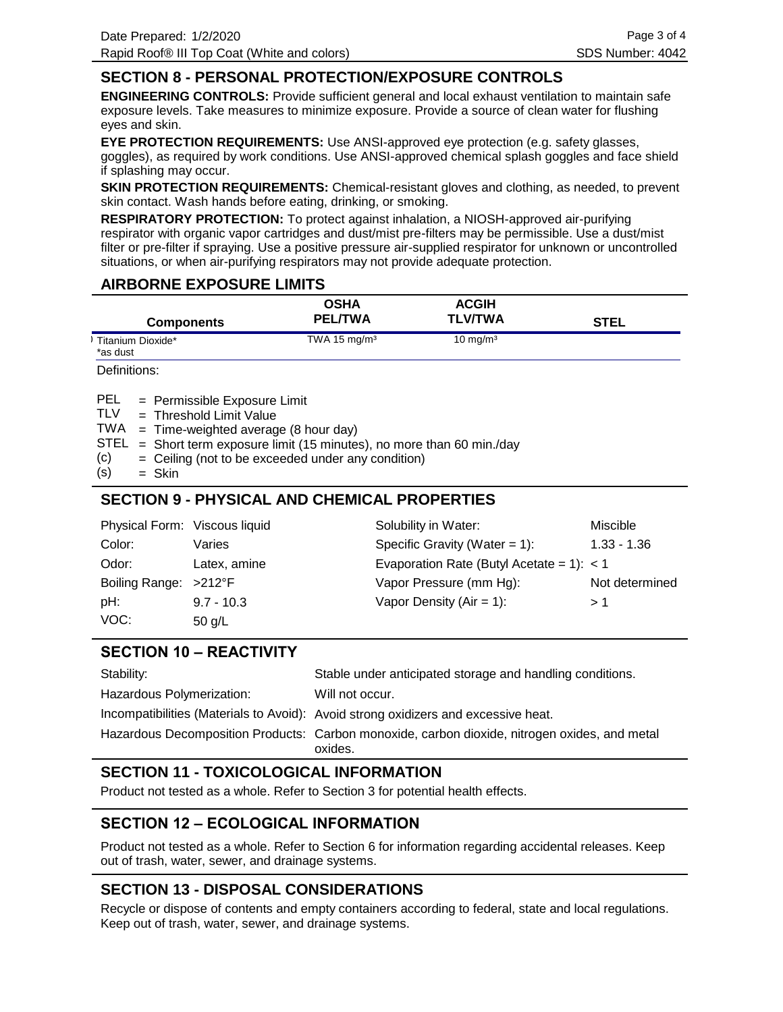## **SECTION 8 - PERSONAL PROTECTION/EXPOSURE CONTROLS**

**ENGINEERING CONTROLS:** Provide sufficient general and local exhaust ventilation to maintain safe exposure levels. Take measures to minimize exposure. Provide a source of clean water for flushing eyes and skin.

**EYE PROTECTION REQUIREMENTS:** Use ANSI-approved eye protection (e.g. safety glasses, goggles), as required by work conditions. Use ANSI-approved chemical splash goggles and face shield if splashing may occur.

**SKIN PROTECTION REQUIREMENTS:** Chemical-resistant gloves and clothing, as needed, to prevent skin contact. Wash hands before eating, drinking, or smoking.

**RESPIRATORY PROTECTION:** To protect against inhalation, a NIOSH-approved air-purifying respirator with organic vapor cartridges and dust/mist pre-filters may be permissible. Use a dust/mist filter or pre-filter if spraying. Use a positive pressure air-supplied respirator for unknown or uncontrolled situations, or when air-purifying respirators may not provide adequate protection.

#### **AIRBORNE EXPOSURE LIMITS**

| <b>Components</b>             | <b>OSHA</b><br><b>PEL/TWA</b> | <b>ACGIH</b><br><b>TLV/TWA</b> | <b>STEL</b> |
|-------------------------------|-------------------------------|--------------------------------|-------------|
| Titanium Dioxide*<br>*as dust | TWA 15 mg/m <sup>3</sup>      | $10 \text{ mg/m}^3$            |             |

Definitions:

= Permissible Exposure Limit PEL

Threshold Limit Value = TLV

TWA = Time-weighted average (8 hour day)

 $STEL = Short term exposure limit (15 minutes), no more than 60 min/day$ 

- Ceiling (not to be exceeded under any condition) = (c)
- Skin = (s)

## **SECTION 9 - PHYSICAL AND CHEMICAL PROPERTIES**

| Physical Form: Viscous liquid |              | Solubility in Water:                        | Miscible       |
|-------------------------------|--------------|---------------------------------------------|----------------|
| Color:                        | Varies       | Specific Gravity (Water = $1$ ):            | $1.33 - 1.36$  |
| Odor:                         | Latex, amine | Evaporation Rate (Butyl Acetate = 1): $<$ 1 |                |
| Boiling Range: >212°F         |              | Vapor Pressure (mm Hg):                     | Not determined |
| pH:                           | $9.7 - 10.3$ | Vapor Density ( $Air = 1$ ):                | > 1            |
| VOC:                          | 50 $g/L$     |                                             |                |

#### **SECTION 10 – REACTIVITY**

| Stability:                | Stable under anticipated storage and handling conditions.                                                |
|---------------------------|----------------------------------------------------------------------------------------------------------|
| Hazardous Polymerization: | Will not occur.                                                                                          |
|                           | Incompatibilities (Materials to Avoid): Avoid strong oxidizers and excessive heat.                       |
|                           | Hazardous Decomposition Products: Carbon monoxide, carbon dioxide, nitrogen oxides, and metal<br>oxides. |

# **SECTION 11 - TOXICOLOGICAL INFORMATION**

Product not tested as a whole. Refer to Section 3 for potential health effects.

#### **SECTION 12 – ECOLOGICAL INFORMATION**

Product not tested as a whole. Refer to Section 6 for information regarding accidental releases. Keep out of trash, water, sewer, and drainage systems.

#### **SECTION 13 - DISPOSAL CONSIDERATIONS**

Recycle or dispose of contents and empty containers according to federal, state and local regulations. Keep out of trash, water, sewer, and drainage systems.